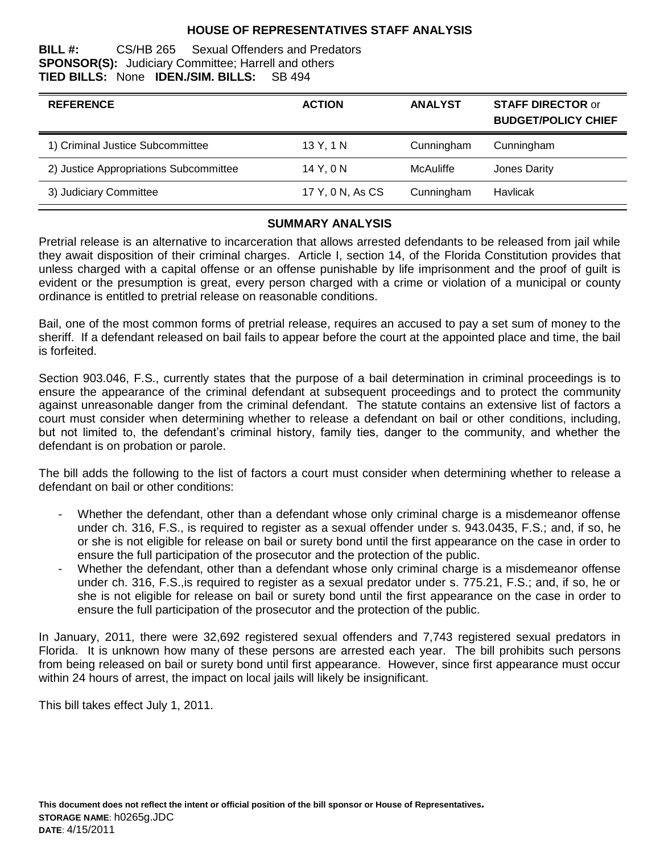## **HOUSE OF REPRESENTATIVES STAFF ANALYSIS**

#### **BILL #:** CS/HB 265 Sexual Offenders and Predators **SPONSOR(S):** Judiciary Committee; Harrell and others **TIED BILLS:** None **IDEN./SIM. BILLS:** SB 494

| <b>REFERENCE</b>                       | <b>ACTION</b>    | <b>ANALYST</b> | <b>STAFF DIRECTOR or</b><br><b>BUDGET/POLICY CHIEF</b> |
|----------------------------------------|------------------|----------------|--------------------------------------------------------|
| 1) Criminal Justice Subcommittee       | 13 Y, 1 N        | Cunningham     | Cunningham                                             |
| 2) Justice Appropriations Subcommittee | 14 Y, 0 N        | McAuliffe      | Jones Darity                                           |
| 3) Judiciary Committee                 | 17 Y, 0 N, As CS | Cunningham     | Havlicak                                               |

#### **SUMMARY ANALYSIS**

Pretrial release is an alternative to incarceration that allows arrested defendants to be released from jail while they await disposition of their criminal charges. Article I, section 14, of the Florida Constitution provides that unless charged with a capital offense or an offense punishable by life imprisonment and the proof of guilt is evident or the presumption is great, every person charged with a crime or violation of a municipal or county ordinance is entitled to pretrial release on reasonable conditions.

Bail, one of the most common forms of pretrial release, requires an accused to pay a set sum of money to the sheriff. If a defendant released on bail fails to appear before the court at the appointed place and time, the bail is forfeited.

Section 903.046, F.S., currently states that the purpose of a bail determination in criminal proceedings is to ensure the appearance of the criminal defendant at subsequent proceedings and to protect the community against unreasonable danger from the criminal defendant. The statute contains an extensive list of factors a court must consider when determining whether to release a defendant on bail or other conditions, including, but not limited to, the defendant's criminal history, family ties, danger to the community, and whether the defendant is on probation or parole.

The bill adds the following to the list of factors a court must consider when determining whether to release a defendant on bail or other conditions:

- Whether the defendant, other than a defendant whose only criminal charge is a misdemeanor offense under ch. 316, F.S., is required to register as a sexual offender under s. 943.0435, F.S.; and, if so, he or she is not eligible for release on bail or surety bond until the first appearance on the case in order to ensure the full participation of the prosecutor and the protection of the public.
- Whether the defendant, other than a defendant whose only criminal charge is a misdemeanor offense under ch. 316, F.S.,is required to register as a sexual predator under s. 775.21, F.S.; and, if so, he or she is not eligible for release on bail or surety bond until the first appearance on the case in order to ensure the full participation of the prosecutor and the protection of the public.

In January, 2011, there were 32,692 registered sexual offenders and 7,743 registered sexual predators in Florida. It is unknown how many of these persons are arrested each year. The bill prohibits such persons from being released on bail or surety bond until first appearance. However, since first appearance must occur within 24 hours of arrest, the impact on local jails will likely be insignificant.

This bill takes effect July 1, 2011.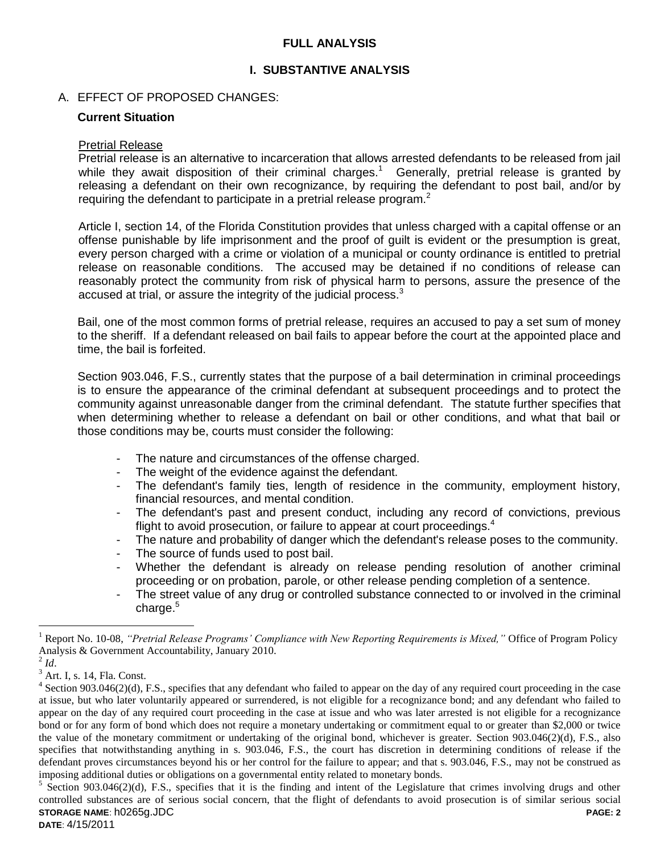## **FULL ANALYSIS**

### **I. SUBSTANTIVE ANALYSIS**

#### A. EFFECT OF PROPOSED CHANGES:

#### **Current Situation**

#### Pretrial Release

Pretrial release is an alternative to incarceration that allows arrested defendants to be released from jail while they await disposition of their criminal charges.<sup>1</sup> Generally, pretrial release is granted by releasing a defendant on their own recognizance, by requiring the defendant to post bail, and/or by requiring the defendant to participate in a pretrial release program.<sup>2</sup>

Article I, section 14, of the Florida Constitution provides that unless charged with a capital offense or an offense punishable by life imprisonment and the proof of guilt is evident or the presumption is great, every person charged with a crime or violation of a municipal or county ordinance is entitled to pretrial release on reasonable conditions. The accused may be detained if no conditions of release can reasonably protect the community from risk of physical harm to persons, assure the presence of the accused at trial, or assure the integrity of the judicial process.<sup>3</sup>

Bail, one of the most common forms of pretrial release, requires an accused to pay a set sum of money to the sheriff. If a defendant released on bail fails to appear before the court at the appointed place and time, the bail is forfeited.

Section 903.046, F.S., currently states that the purpose of a bail determination in criminal proceedings is to ensure the appearance of the criminal defendant at subsequent proceedings and to protect the community against unreasonable danger from the criminal defendant. The statute further specifies that when determining whether to release a defendant on bail or other conditions, and what that bail or those conditions may be, courts must consider the following:

- The nature and circumstances of the offense charged.
- The weight of the evidence against the defendant.
- The defendant's family ties, length of residence in the community, employment history, financial resources, and mental condition.
- The defendant's past and present conduct, including any record of convictions, previous flight to avoid prosecution, or failure to appear at court proceedings.<sup>4</sup>
- The nature and probability of danger which the defendant's release poses to the community.
- The source of funds used to post bail.
- Whether the defendant is already on release pending resolution of another criminal proceeding or on probation, parole, or other release pending completion of a sentence.
- The street value of any drug or controlled substance connected to or involved in the criminal charge.<sup>5</sup>

 $\overline{a}$ 

<sup>1</sup> Report No. 10-08, *"Pretrial Release Programs' Compliance with New Reporting Requirements is Mixed,"* Office of Program Policy Analysis & Government Accountability, January 2010.

 $^2$  *Id*.

 $3$  Art. I, s. 14, Fla. Const.

 $4$  Section 903.046(2)(d), F.S., specifies that any defendant who failed to appear on the day of any required court proceeding in the case at issue, but who later voluntarily appeared or surrendered, is not eligible for a recognizance bond; and any defendant who failed to appear on the day of any required court proceeding in the case at issue and who was later arrested is not eligible for a recognizance bond or for any form of bond which does not require a monetary undertaking or commitment equal to or greater than \$2,000 or twice the value of the monetary commitment or undertaking of the original bond, whichever is greater. Section 903.046(2)(d), F.S., also specifies that notwithstanding anything in s. 903.046, F.S., the court has discretion in determining conditions of release if the defendant proves circumstances beyond his or her control for the failure to appear; and that s. 903.046, F.S., may not be construed as imposing additional duties or obligations on a governmental entity related to monetary bonds.

**STORAGE NAME**: h0265g.JDC **PAGE: 2** 5 Section 903.046(2)(d), F.S., specifies that it is the finding and intent of the Legislature that crimes involving drugs and other controlled substances are of serious social concern, that the flight of defendants to avoid prosecution is of similar serious social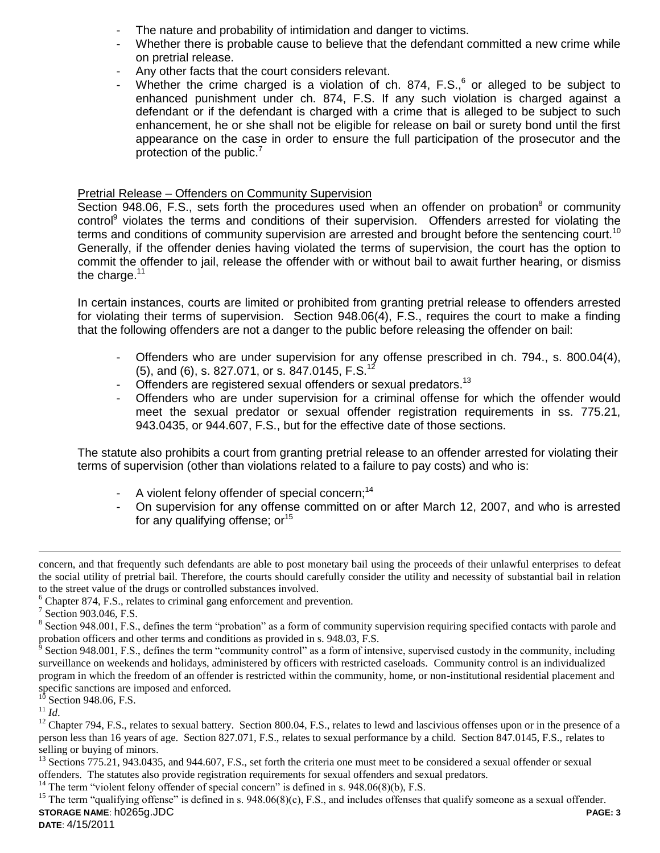- The nature and probability of intimidation and danger to victims.
- Whether there is probable cause to believe that the defendant committed a new crime while on pretrial release.
- Any other facts that the court considers relevant.
- Whether the crime charged is a violation of ch. 874,  $F.S.,<sup>6</sup>$  or alleged to be subject to enhanced punishment under ch. 874, F.S. If any such violation is charged against a defendant or if the defendant is charged with a crime that is alleged to be subject to such enhancement, he or she shall not be eligible for release on bail or surety bond until the first appearance on the case in order to ensure the full participation of the prosecutor and the protection of the public.<sup>7</sup>

## Pretrial Release – Offenders on Community Supervision

Section 948.06, F.S., sets forth the procedures used when an offender on probation $8$  or community control<sup>9</sup> violates the terms and conditions of their supervision. Offenders arrested for violating the terms and conditions of community supervision are arrested and brought before the sentencing court.<sup>10</sup> Generally, if the offender denies having violated the terms of supervision, the court has the option to commit the offender to jail, release the offender with or without bail to await further hearing, or dismiss the charge. $11$ 

In certain instances, courts are limited or prohibited from granting pretrial release to offenders arrested for violating their terms of supervision. Section 948.06(4), F.S., requires the court to make a finding that the following offenders are not a danger to the public before releasing the offender on bail:

- Offenders who are under supervision for any offense prescribed in ch. 794., s. 800.04(4), (5), and (6), s. 827.071, or s. 847.0145, F.S.<sup>12</sup>
- Offenders are registered sexual offenders or sexual predators.<sup>13</sup>
- Offenders who are under supervision for a criminal offense for which the offender would meet the sexual predator or sexual offender registration requirements in ss. 775.21, 943.0435, or 944.607, F.S., but for the effective date of those sections.

The statute also prohibits a court from granting pretrial release to an offender arrested for violating their terms of supervision (other than violations related to a failure to pay costs) and who is:

- A violent felony offender of special concern:<sup>14</sup>
- On supervision for any offense committed on or after March 12, 2007, and who is arrested for any qualifying offense;  $or<sup>15</sup>$

 $\overline{a}$ 

<sup>14</sup> The term "violent felony offender of special concern" is defined in s.  $948.06(8)(b)$ , F.S.

**STORAGE NAME**: h0265g.JDC **PAGE: 3** <sup>15</sup> The term "qualifying offense" is defined in s.  $948.06(8)(c)$ , F.S., and includes offenses that qualify someone as a sexual offender.

concern, and that frequently such defendants are able to post monetary bail using the proceeds of their unlawful enterprises to defeat the social utility of pretrial bail. Therefore, the courts should carefully consider the utility and necessity of substantial bail in relation to the street value of the drugs or controlled substances involved.

<sup>&</sup>lt;sup>6</sup> Chapter 874, F.S., relates to criminal gang enforcement and prevention.

<sup>&</sup>lt;sup>7</sup> Section 903.046, F.S.

<sup>&</sup>lt;sup>8</sup> Section 948.001, F.S., defines the term "probation" as a form of community supervision requiring specified contacts with parole and probation officers and other terms and conditions as provided in s. 948.03, F.S.

<sup>9</sup> Section 948.001, F.S., defines the term "community control" as a form of intensive, supervised custody in the community, including surveillance on weekends and holidays, administered by officers with restricted caseloads. Community control is an individualized program in which the freedom of an offender is restricted within the community, home, or non-institutional residential placement and specific sanctions are imposed and enforced.

Section 948.06, F.S.

<sup>11</sup> *Id*.

 $12$  Chapter 794, F.S., relates to sexual battery. Section 800.04, F.S., relates to lewd and lascivious offenses upon or in the presence of a person less than 16 years of age. Section 827.071, F.S., relates to sexual performance by a child. Section 847.0145, F.S., relates to selling or buying of minors.

 $^{13}$  Sections  $775.21$ , 943.0435, and 944.607, F.S., set forth the criteria one must meet to be considered a sexual offender or sexual offenders. The statutes also provide registration requirements for sexual offenders and sexual predators.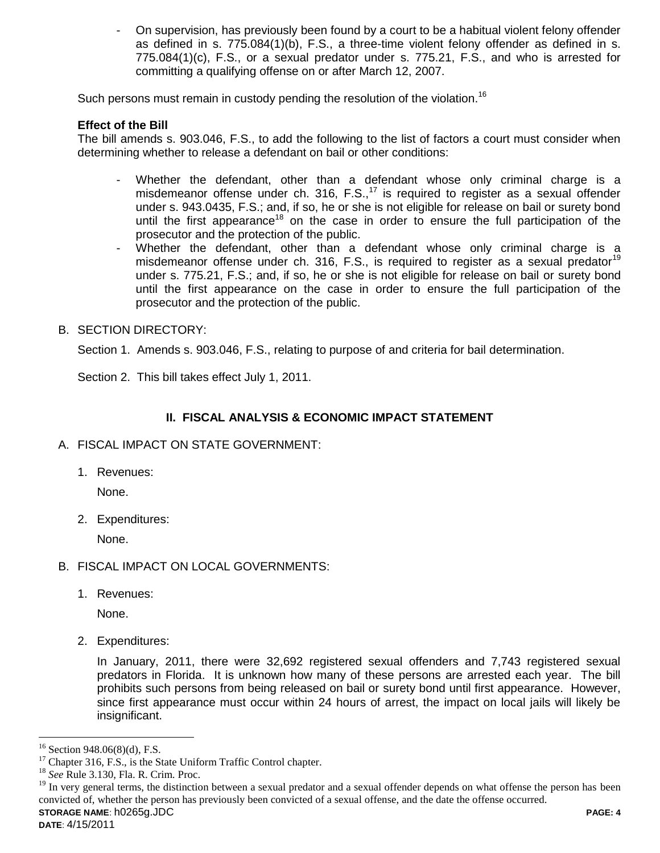- On supervision, has previously been found by a court to be a habitual violent felony offender as defined in s. 775.084(1)(b), F.S., a three-time violent felony offender as defined in s. 775.084(1)(c), F.S., or a sexual predator under s. 775.21, F.S., and who is arrested for committing a qualifying offense on or after March 12, 2007.

Such persons must remain in custody pending the resolution of the violation.<sup>16</sup>

## **Effect of the Bill**

The bill amends s. 903.046, F.S., to add the following to the list of factors a court must consider when determining whether to release a defendant on bail or other conditions:

- Whether the defendant, other than a defendant whose only criminal charge is a misdemeanor offense under ch. 316, F.S., $17$  is required to register as a sexual offender under s. 943.0435, F.S.; and, if so, he or she is not eligible for release on bail or surety bond until the first appearance<sup>18</sup> on the case in order to ensure the full participation of the prosecutor and the protection of the public.
- Whether the defendant, other than a defendant whose only criminal charge is a misdemeanor offense under ch. 316, F.S., is required to register as a sexual predator<sup>19</sup> under s. 775.21, F.S.; and, if so, he or she is not eligible for release on bail or surety bond until the first appearance on the case in order to ensure the full participation of the prosecutor and the protection of the public.

## B. SECTION DIRECTORY:

Section 1. Amends s. 903.046, F.S., relating to purpose of and criteria for bail determination.

Section 2. This bill takes effect July 1, 2011.

## **II. FISCAL ANALYSIS & ECONOMIC IMPACT STATEMENT**

- A. FISCAL IMPACT ON STATE GOVERNMENT:
	- 1. Revenues:

None.

2. Expenditures:

None.

- B. FISCAL IMPACT ON LOCAL GOVERNMENTS:
	- 1. Revenues:

None.

2. Expenditures:

In January, 2011, there were 32,692 registered sexual offenders and 7,743 registered sexual predators in Florida. It is unknown how many of these persons are arrested each year. The bill prohibits such persons from being released on bail or surety bond until first appearance. However, since first appearance must occur within 24 hours of arrest, the impact on local jails will likely be insignificant.

 $\overline{a}$ 

Section 948.06(8)(d), F.S.

 $17$  Chapter 316, F.S., is the State Uniform Traffic Control chapter.

<sup>18</sup> *See* Rule 3.130, Fla. R. Crim. Proc.

**STORAGE NAME**: h0265g.JDC **PAGE: 4** <sup>19</sup> In very general terms, the distinction between a sexual predator and a sexual offender depends on what offense the person has been convicted of, whether the person has previously been convicted of a sexual offense, and the date the offense occurred.